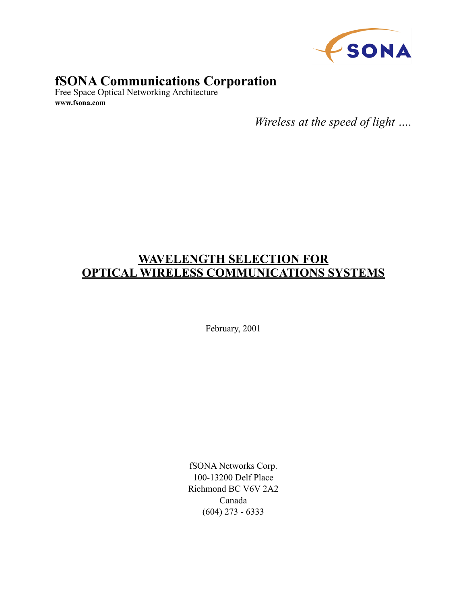

# **fSONA Communications Corporation**

Free Space Optical Networking Architecture **www.fsona.com**

*Wireless at the speed of light ….*

# **WAVELENGTH SELECTION FOR OPTICAL WIRELESS COMMUNICATIONS SYSTEMS**

February, 2001

fSONA Networks Corp. 100-13200 Delf Place Richmond BC V6V 2A2 Canada (604) 273 - 6333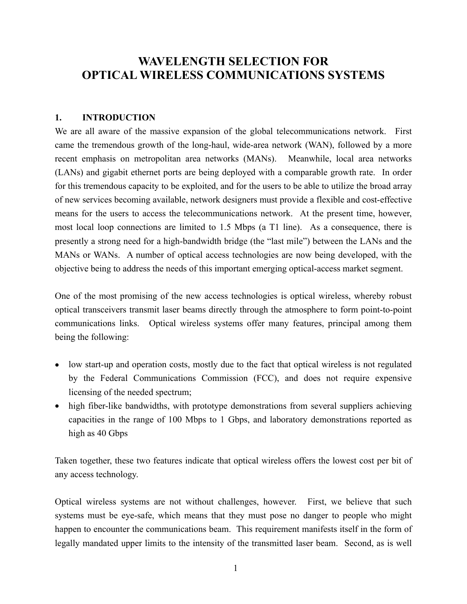# **WAVELENGTH SELECTION FOR OPTICAL WIRELESS COMMUNICATIONS SYSTEMS**

### **1. INTRODUCTION**

We are all aware of the massive expansion of the global telecommunications network. First came the tremendous growth of the long-haul, wide-area network (WAN), followed by a more recent emphasis on metropolitan area networks (MANs). Meanwhile, local area networks (LANs) and gigabit ethernet ports are being deployed with a comparable growth rate. In order for this tremendous capacity to be exploited, and for the users to be able to utilize the broad array of new services becoming available, network designers must provide a flexible and cost-effective means for the users to access the telecommunications network. At the present time, however, most local loop connections are limited to 1.5 Mbps (a T1 line). As a consequence, there is presently a strong need for a high-bandwidth bridge (the "last mile") between the LANs and the MANs or WANs. A number of optical access technologies are now being developed, with the objective being to address the needs of this important emerging optical-access market segment.

One of the most promising of the new access technologies is optical wireless, whereby robust optical transceivers transmit laser beams directly through the atmosphere to form point-to-point communications links. Optical wireless systems offer many features, principal among them being the following:

- low start-up and operation costs, mostly due to the fact that optical wireless is not regulated by the Federal Communications Commission (FCC), and does not require expensive licensing of the needed spectrum;
- high fiber-like bandwidths, with prototype demonstrations from several suppliers achieving capacities in the range of 100 Mbps to 1 Gbps, and laboratory demonstrations reported as high as 40 Gbps

Taken together, these two features indicate that optical wireless offers the lowest cost per bit of any access technology.

Optical wireless systems are not without challenges, however. First, we believe that such systems must be eye-safe, which means that they must pose no danger to people who might happen to encounter the communications beam. This requirement manifests itself in the form of legally mandated upper limits to the intensity of the transmitted laser beam. Second, as is well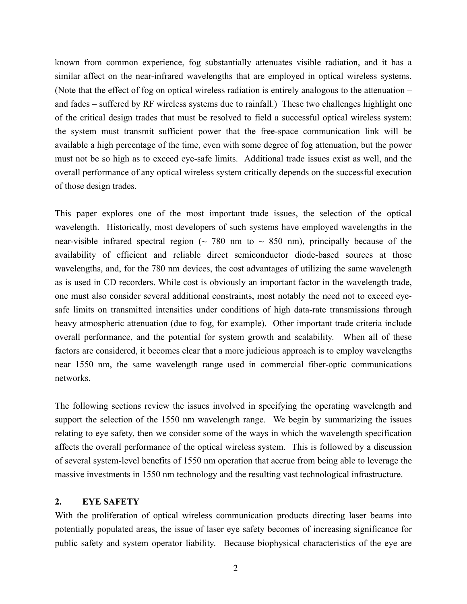known from common experience, fog substantially attenuates visible radiation, and it has a similar affect on the near-infrared wavelengths that are employed in optical wireless systems. (Note that the effect of fog on optical wireless radiation is entirely analogous to the attenuation – and fades – suffered by RF wireless systems due to rainfall.) These two challenges highlight one of the critical design trades that must be resolved to field a successful optical wireless system: the system must transmit sufficient power that the free-space communication link will be available a high percentage of the time, even with some degree of fog attenuation, but the power must not be so high as to exceed eye-safe limits. Additional trade issues exist as well, and the overall performance of any optical wireless system critically depends on the successful execution of those design trades.

This paper explores one of the most important trade issues, the selection of the optical wavelength. Historically, most developers of such systems have employed wavelengths in the near-visible infrared spectral region ( $\sim$  780 nm to  $\sim$  850 nm), principally because of the availability of efficient and reliable direct semiconductor diode-based sources at those wavelengths, and, for the 780 nm devices, the cost advantages of utilizing the same wavelength as is used in CD recorders. While cost is obviously an important factor in the wavelength trade, one must also consider several additional constraints, most notably the need not to exceed eyesafe limits on transmitted intensities under conditions of high data-rate transmissions through heavy atmospheric attenuation (due to fog, for example). Other important trade criteria include overall performance, and the potential for system growth and scalability. When all of these factors are considered, it becomes clear that a more judicious approach is to employ wavelengths near 1550 nm, the same wavelength range used in commercial fiber-optic communications networks.

The following sections review the issues involved in specifying the operating wavelength and support the selection of the 1550 nm wavelength range. We begin by summarizing the issues relating to eye safety, then we consider some of the ways in which the wavelength specification affects the overall performance of the optical wireless system. This is followed by a discussion of several system-level benefits of 1550 nm operation that accrue from being able to leverage the massive investments in 1550 nm technology and the resulting vast technological infrastructure.

#### **2. EYE SAFETY**

With the proliferation of optical wireless communication products directing laser beams into potentially populated areas, the issue of laser eye safety becomes of increasing significance for public safety and system operator liability. Because biophysical characteristics of the eye are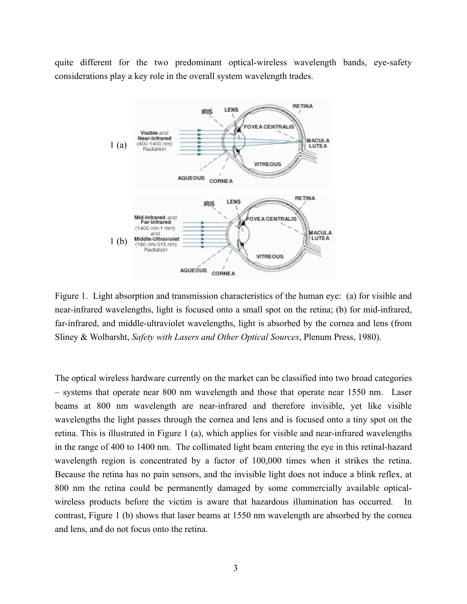quite different for the two predominant optical-wireless wavelength bands, eye-safety considerations play a key role in the overall system wavelength trades.



Figure 1. Light absorption and transmission characteristics of the human eye: (a) for visible and near-infrared wavelengths, light is focused onto a small spot on the retina; (b) for mid-infrared, far-infrared, and middle-ultraviolet wavelengths, light is absorbed by the cornea and lens (from Sliney & Wolbarsht, *Safety with Lasers and Other Optical Sources*, Plenum Press, 1980).

The optical wireless hardware currently on the market can be classified into two broad categories – systems that operate near 800 nm wavelength and those that operate near 1550 nm. Laser beams at 800 nm wavelength are near-infrared and therefore invisible, yet like visible wavelengths the light passes through the cornea and lens and is focused onto a tiny spot on the retina. This is illustrated in Figure 1 (a), which applies for visible and near-infrared wavelengths in the range of 400 to 1400 nm. The collimated light beam entering the eye in this retinal-hazard wavelength region is concentrated by a factor of 100,000 times when it strikes the retina. Because the retina has no pain sensors, and the invisible light does not induce a blink reflex, at 800 nm the retina could be permanently damaged by some commercially available opticalwireless products before the victim is aware that hazardous illumination has occurred. In contrast, Figure 1 (b) shows that laser beams at 1550 nm wavelength are absorbed by the cornea and lens, and do not focus onto the retina.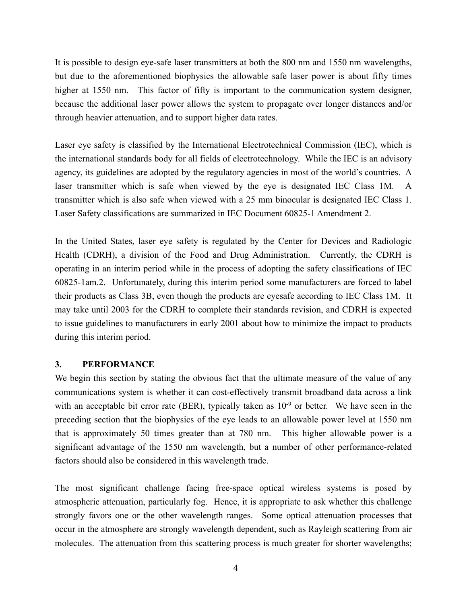It is possible to design eye-safe laser transmitters at both the 800 nm and 1550 nm wavelengths, but due to the aforementioned biophysics the allowable safe laser power is about fifty times higher at 1550 nm. This factor of fifty is important to the communication system designer, because the additional laser power allows the system to propagate over longer distances and/or through heavier attenuation, and to support higher data rates.

Laser eye safety is classified by the International Electrotechnical Commission (IEC), which is the international standards body for all fields of electrotechnology. While the IEC is an advisory agency, its guidelines are adopted by the regulatory agencies in most of the world's countries. A laser transmitter which is safe when viewed by the eye is designated IEC Class 1M. A transmitter which is also safe when viewed with a 25 mm binocular is designated IEC Class 1. Laser Safety classifications are summarized in IEC Document 60825-1 Amendment 2.

In the United States, laser eye safety is regulated by the Center for Devices and Radiologic Health (CDRH), a division of the Food and Drug Administration. Currently, the CDRH is operating in an interim period while in the process of adopting the safety classifications of IEC 60825-1am.2. Unfortunately, during this interim period some manufacturers are forced to label their products as Class 3B, even though the products are eyesafe according to IEC Class 1M. It may take until 2003 for the CDRH to complete their standards revision, and CDRH is expected to issue guidelines to manufacturers in early 2001 about how to minimize the impact to products during this interim period.

### **3. PERFORMANCE**

We begin this section by stating the obvious fact that the ultimate measure of the value of any communications system is whether it can cost-effectively transmit broadband data across a link with an acceptable bit error rate (BER), typically taken as  $10^{-9}$  or better. We have seen in the preceding section that the biophysics of the eye leads to an allowable power level at 1550 nm that is approximately 50 times greater than at 780 nm. This higher allowable power is a significant advantage of the 1550 nm wavelength, but a number of other performance-related factors should also be considered in this wavelength trade.

The most significant challenge facing free-space optical wireless systems is posed by atmospheric attenuation, particularly fog. Hence, it is appropriate to ask whether this challenge strongly favors one or the other wavelength ranges. Some optical attenuation processes that occur in the atmosphere are strongly wavelength dependent, such as Rayleigh scattering from air molecules. The attenuation from this scattering process is much greater for shorter wavelengths;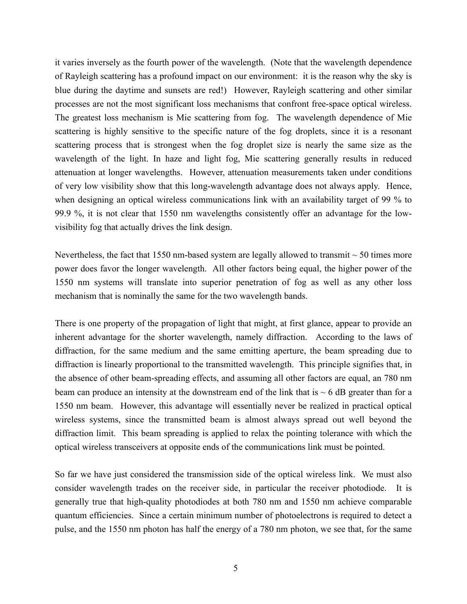it varies inversely as the fourth power of the wavelength. (Note that the wavelength dependence of Rayleigh scattering has a profound impact on our environment: it is the reason why the sky is blue during the daytime and sunsets are red!) However, Rayleigh scattering and other similar processes are not the most significant loss mechanisms that confront free-space optical wireless. The greatest loss mechanism is Mie scattering from fog. The wavelength dependence of Mie scattering is highly sensitive to the specific nature of the fog droplets, since it is a resonant scattering process that is strongest when the fog droplet size is nearly the same size as the wavelength of the light. In haze and light fog, Mie scattering generally results in reduced attenuation at longer wavelengths. However, attenuation measurements taken under conditions of very low visibility show that this long-wavelength advantage does not always apply. Hence, when designing an optical wireless communications link with an availability target of 99 % to 99.9 %, it is not clear that 1550 nm wavelengths consistently offer an advantage for the lowvisibility fog that actually drives the link design.

Nevertheless, the fact that 1550 nm-based system are legally allowed to transmit  $\sim$  50 times more power does favor the longer wavelength. All other factors being equal, the higher power of the 1550 nm systems will translate into superior penetration of fog as well as any other loss mechanism that is nominally the same for the two wavelength bands.

There is one property of the propagation of light that might, at first glance, appear to provide an inherent advantage for the shorter wavelength, namely diffraction. According to the laws of diffraction, for the same medium and the same emitting aperture, the beam spreading due to diffraction is linearly proportional to the transmitted wavelength. This principle signifies that, in the absence of other beam-spreading effects, and assuming all other factors are equal, an 780 nm beam can produce an intensity at the downstream end of the link that is  $\sim$  6 dB greater than for a 1550 nm beam. However, this advantage will essentially never be realized in practical optical wireless systems, since the transmitted beam is almost always spread out well beyond the diffraction limit. This beam spreading is applied to relax the pointing tolerance with which the optical wireless transceivers at opposite ends of the communications link must be pointed.

So far we have just considered the transmission side of the optical wireless link. We must also consider wavelength trades on the receiver side, in particular the receiver photodiode. It is generally true that high-quality photodiodes at both 780 nm and 1550 nm achieve comparable quantum efficiencies. Since a certain minimum number of photoelectrons is required to detect a pulse, and the 1550 nm photon has half the energy of a 780 nm photon, we see that, for the same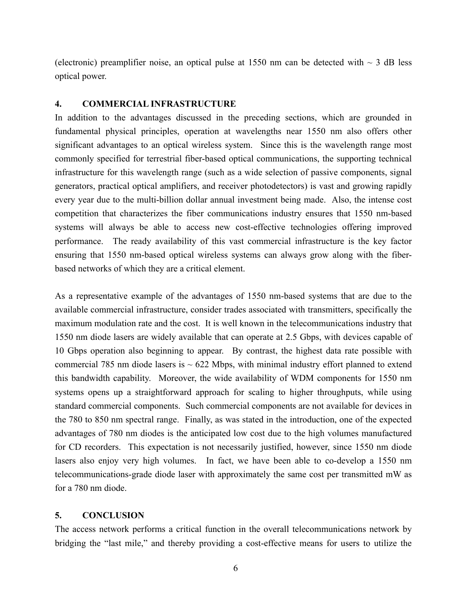(electronic) preamplifier noise, an optical pulse at 1550 nm can be detected with  $\sim$  3 dB less optical power.

#### **4. COMMERCIAL INFRASTRUCTURE**

In addition to the advantages discussed in the preceding sections, which are grounded in fundamental physical principles, operation at wavelengths near 1550 nm also offers other significant advantages to an optical wireless system. Since this is the wavelength range most commonly specified for terrestrial fiber-based optical communications, the supporting technical infrastructure for this wavelength range (such as a wide selection of passive components, signal generators, practical optical amplifiers, and receiver photodetectors) is vast and growing rapidly every year due to the multi-billion dollar annual investment being made. Also, the intense cost competition that characterizes the fiber communications industry ensures that 1550 nm-based systems will always be able to access new cost-effective technologies offering improved performance. The ready availability of this vast commercial infrastructure is the key factor ensuring that 1550 nm-based optical wireless systems can always grow along with the fiberbased networks of which they are a critical element.

As a representative example of the advantages of 1550 nm-based systems that are due to the available commercial infrastructure, consider trades associated with transmitters, specifically the maximum modulation rate and the cost. It is well known in the telecommunications industry that 1550 nm diode lasers are widely available that can operate at 2.5 Gbps, with devices capable of 10 Gbps operation also beginning to appear. By contrast, the highest data rate possible with commercial 785 nm diode lasers is  $\sim$  622 Mbps, with minimal industry effort planned to extend this bandwidth capability. Moreover, the wide availability of WDM components for 1550 nm systems opens up a straightforward approach for scaling to higher throughputs, while using standard commercial components. Such commercial components are not available for devices in the 780 to 850 nm spectral range. Finally, as was stated in the introduction, one of the expected advantages of 780 nm diodes is the anticipated low cost due to the high volumes manufactured for CD recorders. This expectation is not necessarily justified, however, since 1550 nm diode lasers also enjoy very high volumes. In fact, we have been able to co-develop a 1550 nm telecommunications-grade diode laser with approximately the same cost per transmitted mW as for a 780 nm diode.

#### **5. CONCLUSION**

The access network performs a critical function in the overall telecommunications network by bridging the "last mile," and thereby providing a cost-effective means for users to utilize the